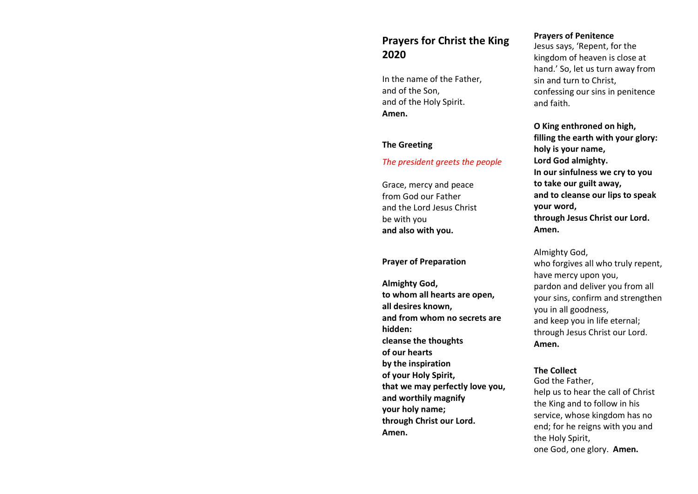# Prayers for Christ the King 2020

In the name of the Father, and of the Son, and of the Holy Spirit. Amen.

#### The Greeting

#### The president greets the people

Grace, mercy and peace from God our Father and the Lord Jesus Christ be with you and also with you.

#### Prayer of Preparation

Almighty God, to whom all hearts are open, all desires known, and from whom no secrets are hidden: cleanse the thoughts of our hearts by the inspiration of your Holy Spirit, that we may perfectly love you, and worthily magnify your holy name; through Christ our Lord. Amen.

#### Prayers of Penitence

Jesus says, 'Repent, for the kingdom of heaven is close at hand.' So, let us turn away from sin and turn to Christ, confessing our sins in penitence and faith.

O King enthroned on high, filling the earth with your glory: holy is your name, Lord God almighty. In our sinfulness we cry to you to take our guilt away, and to cleanse our lips to speak your word, through Jesus Christ our Lord. Amen.

Almighty God, who forgives all who truly repent, have mercy upon you, pardon and deliver you from all your sins, confirm and strengthen you in all goodness, and keep you in life eternal; through Jesus Christ our Lord. Amen.

### The Collect

God the Father, help us to hear the call of Christ the King and to follow in his service, whose kingdom has no end; for he reigns with you and the Holy Spirit, one God, one glory. Amen.